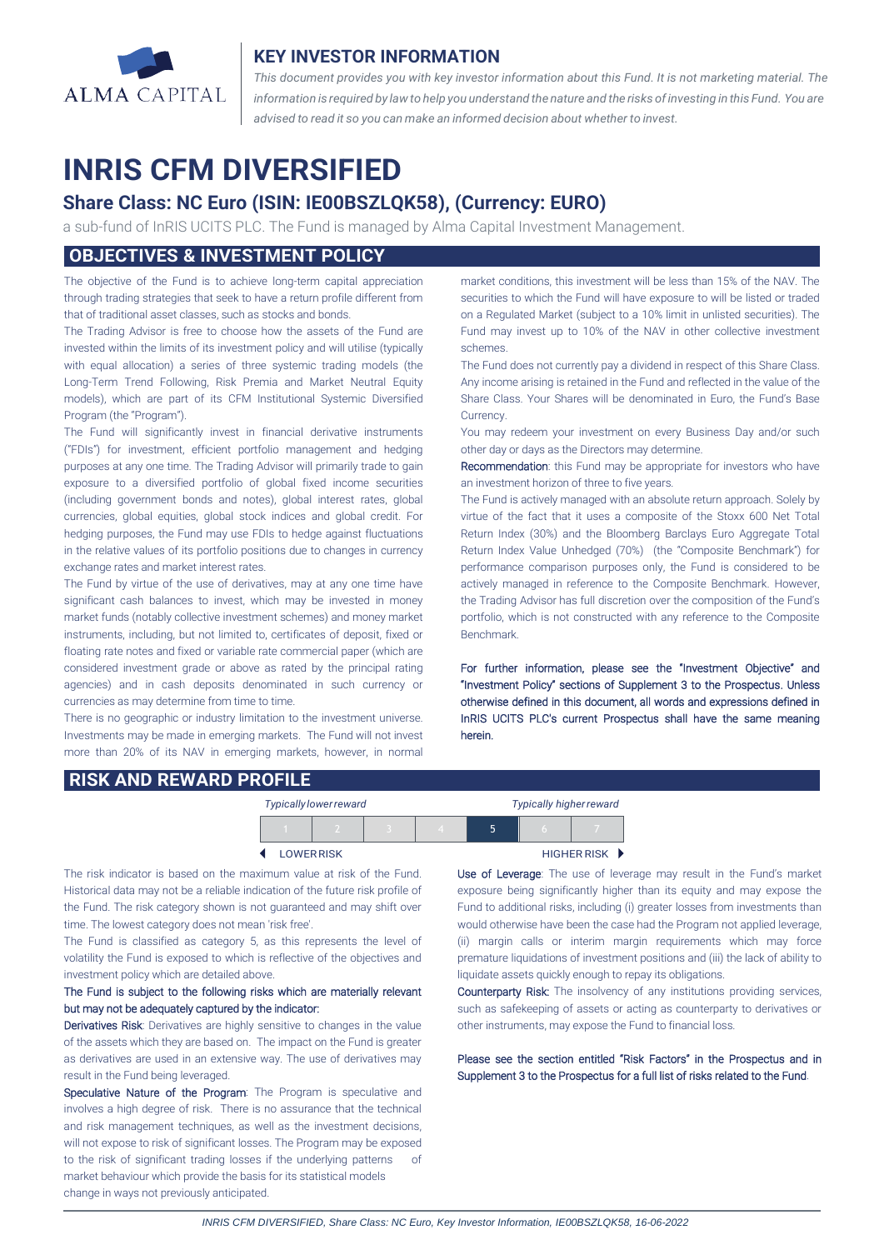

### **KEY INVESTOR INFORMATION**

*This document provides you with key investor information about this Fund. It is not marketing material. The* information is required by law to help you understand the nature and the risks of investing in this Fund. You are *advised to read it so you can make an informed decision about whether to invest.*

# **INRIS CFM DIVERSIFIED**

# **Share Class: NC Euro (ISIN: IE00BSZLQK58), (Currency: EURO)**

a sub-fund of InRIS UCITS PLC. The Fund is managed by Alma Capital Investment Management.

# **OBJECTIVES & INVESTMENT POLICY**

The objective of the Fund is to achieve long-term capital appreciation through trading strategies that seek to have a return profile different from that of traditional asset classes, such as stocks and bonds.

The Trading Advisor is free to choose how the assets of the Fund are invested within the limits of its investment policy and will utilise (typically with equal allocation) a series of three systemic trading models (the Long-Term Trend Following, Risk Premia and Market Neutral Equity models), which are part of its CFM Institutional Systemic Diversified Program (the "Program").

The Fund will significantly invest in financial derivative instruments ("FDIs") for investment, efficient portfolio management and hedging purposes at any one time. The Trading Advisor will primarily trade to gain exposure to a diversified portfolio of global fixed income securities (including government bonds and notes), global interest rates, global currencies, global equities, global stock indices and global credit. For hedging purposes, the Fund may use FDIs to hedge against fluctuations in the relative values of its portfolio positions due to changes in currency exchange rates and market interest rates.

The Fund by virtue of the use of derivatives, may at any one time have significant cash balances to invest, which may be invested in money market funds (notably collective investment schemes) and money market instruments, including, but not limited to, certificates of deposit, fixed or floating rate notes and fixed or variable rate commercial paper (which are considered investment grade or above as rated by the principal rating agencies) and in cash deposits denominated in such currency or currencies as may determine from time to time.

There is no geographic or industry limitation to the investment universe. Investments may be made in emerging markets. The Fund will not invest more than 20% of its NAV in emerging markets, however, in normal market conditions, this investment will be less than 15% of the NAV. The securities to which the Fund will have exposure to will be listed or traded on a Regulated Market (subject to a 10% limit in unlisted securities). The Fund may invest up to 10% of the NAV in other collective investment schemes.

The Fund does not currently pay a dividend in respect of this Share Class. Any income arising is retained in the Fund and reflected in the value of the Share Class. Your Shares will be denominated in Euro, the Fund's Base Currency.

You may redeem your investment on every Business Day and/or such other day or days as the Directors may determine.

Recommendation: this Fund may be appropriate for investors who have an investment horizon of three to five years.

The Fund is actively managed with an absolute return approach. Solely by virtue of the fact that it uses a composite of the Stoxx 600 Net Total Return Index (30%) and the Bloomberg Barclays Euro Aggregate Total Return Index Value Unhedged (70%) (the "Composite Benchmark") for performance comparison purposes only, the Fund is considered to be actively managed in reference to the Composite Benchmark. However, the Trading Advisor has full discretion over the composition of the Fund's portfolio, which is not constructed with any reference to the Composite Benchmark.

For further information, please see the "Investment Objective" and "Investment Policy" sections of Supplement 3 to the Prospectus. Unless otherwise defined in this document, all words and expressions defined in InRIS UCITS PLC's current Prospectus shall have the same meaning herein.

#### **RISK AND REWARD PROFILE**

| <b>Typically lower reward</b> |  |  |                      | <b>Typically higher reward</b> |  |  |
|-------------------------------|--|--|----------------------|--------------------------------|--|--|
|                               |  |  |                      | 5                              |  |  |
| <b>LOWER RISK</b>             |  |  | <b>HIGHER RISK ▶</b> |                                |  |  |

The risk indicator is based on the maximum value at risk of the Fund. Historical data may not be a reliable indication of the future risk profile of the Fund. The risk category shown is not guaranteed and may shift over time. The lowest category does not mean 'risk free'.

The Fund is classified as category 5, as this represents the level of volatility the Fund is exposed to which is reflective of the objectives and investment policy which are detailed above.

#### The Fund is subject to the following risks which are materially relevant but may not be adequately captured by the indicator:

Derivatives Risk: Derivatives are highly sensitive to changes in the value of the assets which they are based on. The impact on the Fund is greater as derivatives are used in an extensive way. The use of derivatives may result in the Fund being leveraged.

Speculative Nature of the Program: The Program is speculative and involves a high degree of risk. There is no assurance that the technical and risk management techniques, as well as the investment decisions, will not expose to risk of significant losses. The Program may be exposed to the risk of significant trading losses if the underlying patterns of market behaviour which provide the basis for its statistical models change in ways not previously anticipated.

 $\overline{a}$ 

Use of Leverage: The use of leverage may result in the Fund's market exposure being significantly higher than its equity and may expose the Fund to additional risks, including (i) greater losses from investments than would otherwise have been the case had the Program not applied leverage, (ii) margin calls or interim margin requirements which may force premature liquidations of investment positions and (iii) the lack of ability to liquidate assets quickly enough to repay its obligations.

Counterparty Risk: The insolvency of any institutions providing services, such as safekeeping of assets or acting as counterparty to derivatives or other instruments, may expose the Fund to financial loss.

Please see the section entitled "Risk Factors" in the Prospectus and in Supplement 3 to the Prospectus for a full list of risks related to the Fund.